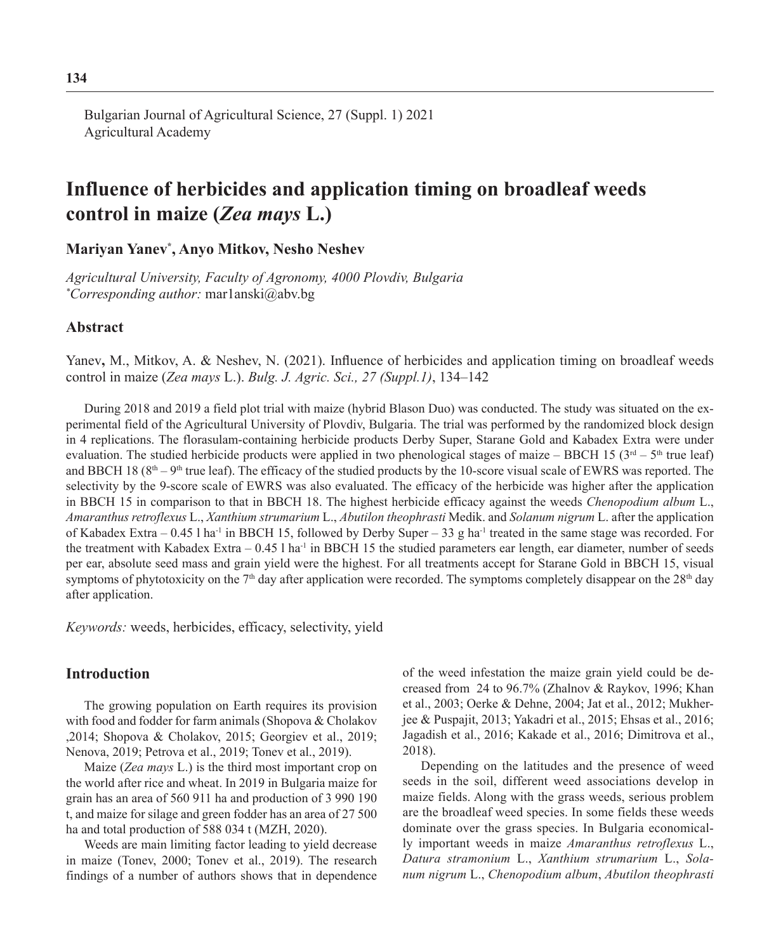Bulgarian Journal of Agricultural Science, 27 (Suppl. 1) 2021 Agricultural Academy

# **Influence of herbicides and application timing on broadleaf weeds control in maize (***Zea mays* **L.)**

**Mariyan Yanev\* , Anyo Mitkov, Nesho Neshev** 

*Agricultural University, Faculty of Agronomy, 4000 Plovdiv, Bulgaria \* Corresponding author:* mar1anski@abv.bg

## **Abstract**

Yanev**,** M., Mitkov, A. & Neshev, N. (2021). Influence of herbicides and application timing on broadleaf weeds control in maize (*Zea mays* L.). *Bulg. J. Agric. Sci., 27 (Suppl.1)*, 134–142

During 2018 and 2019 a field plot trial with maize (hybrid Blason Duo) was conducted. The study was situated on the experimental field of the Agricultural University of Plovdiv, Bulgaria. The trial was performed by the randomized block design in 4 replications. The florasulam-containing herbicide products Derby Super, Starane Gold and Kabadex Extra were under evaluation. The studied herbicide products were applied in two phenological stages of maize – BBCH 15 ( $3<sup>rd</sup>$  –  $5<sup>th</sup>$  true leaf) and BBCH 18 ( $8<sup>th</sup> - 9<sup>th</sup>$  true leaf). The efficacy of the studied products by the 10-score visual scale of EWRS was reported. The selectivity by the 9-score scale of EWRS was also evaluated. The efficacy of the herbicide was higher after the application in BBCH 15 in comparison to that in BBCH 18. The highest herbicide efficacy against the weeds *Chenopodium album* L., *Amaranthus retroflexus* L., *Xanthium strumarium* L., *Abutilon theophrasti* Medik. and *Solanum nigrum* L. after the application of Kabadex Extra – 0.45 l ha-1 in BBCH 15, followed by Derby Super – 33 g ha-1 treated in the same stage was recorded. For the treatment with Kabadex Extra –  $0.45$  l ha<sup>-1</sup> in BBCH 15 the studied parameters ear length, ear diameter, number of seeds per ear, absolute seed mass and grain yield were the highest. For all treatments accept for Starane Gold in BBCH 15, visual symptoms of phytotoxicity on the  $7<sup>th</sup>$  day after application were recorded. The symptoms completely disappear on the  $28<sup>th</sup>$  day after application.

*Keywords:* weeds, herbicides, efficacy, selectivity, yield

## **Introduction**

The growing population on Earth requires its provision with food and fodder for farm animals (Shopova & Cholakov ,2014; Shopova & Cholakov, 2015; Georgiev et al., 2019; Nenova, 2019; Petrova et al., 2019; Tonev et al., 2019).

Maize (*Zea mays* L.) is the third most important crop on the world after rice and wheat. In 2019 in Bulgaria maize for grain has an area of 560 911 ha and production of 3 990 190 t, and maize for silage and green fodder has an area of 27 500 ha and total production of 588 034 t (MZH, 2020).

Weeds are main limiting factor leading to yield decrease in maize (Tonev, 2000; Tonev et al., 2019). The research findings of a number of authors shows that in dependence of the weed infestation the maize grain yield could be decreased from 24 to 96.7% (Zhalnov & Raykov, 1996; Khan et al., 2003; Oerke & Dehne, 2004; Jat et al., 2012; Mukherjee & Puspajit, 2013; Yakadri et al., 2015; Ehsas et al., 2016; Jagadish et al., 2016; Kakade et al., 2016; Dimitrova et al., 2018).

Depending on the latitudes and the presence of weed seeds in the soil, different weed associations develop in maize fields. Along with the grass weeds, serious problem are the broadleaf weed species. In some fields these weeds dominate over the grass species. In Bulgaria economically important weeds in maize *Amaranthus retroflexus* L., *Datura stramonium* L., *Xanthium strumarium* L., *Solanum nigrum* L., *Chenopodium album*, *Abutilon theophrasti*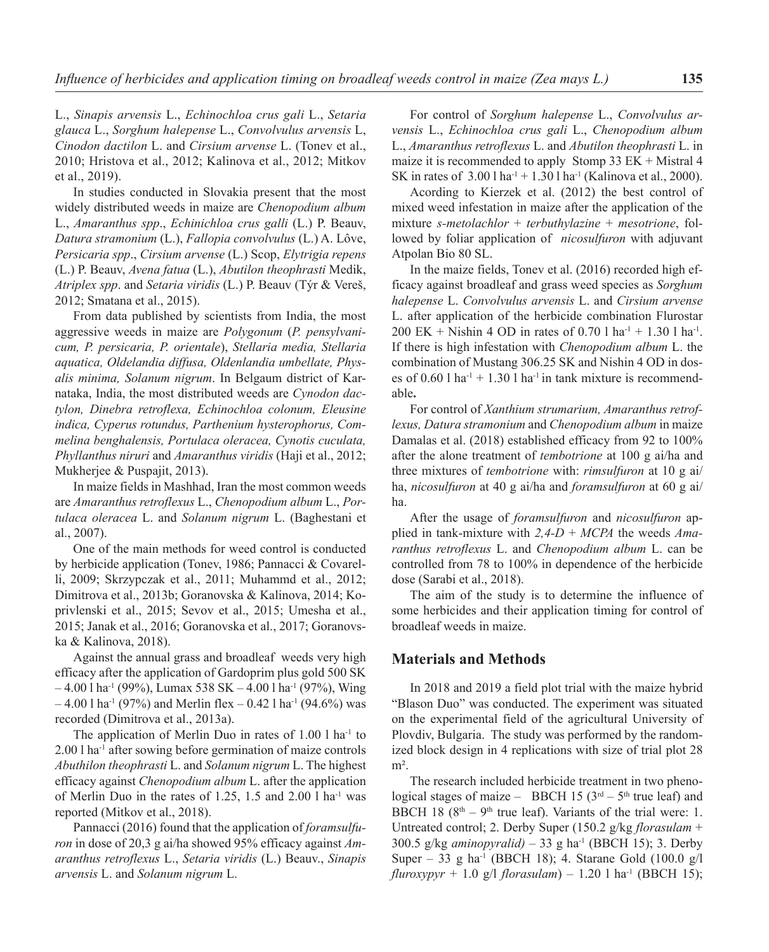L., *Sinapis arvensis* L., *Echinochloa crus gali* L., *Setaria glauca* L., *Sorghum halepense* L., *Convolvulus arvensis* L, *Cinodon dactilon* L. and *Cirsium arvense* L. (Tonev et al., 2010; Hristova et al., 2012; Kalinova et al., 2012; Mitkov et al., 2019).

In studies conducted in Slovakia present that the most widely distributed weeds in maize are *Chenopodium album*  L., *Amaranthus spp*., *Echinichloa crus galli* (L.) P. Beauv, *Datura stramonium* (L.), *Fallopia convolvulus* (L.) A. Lôve, *Persicaria spp*., *Cirsium arvense* (L.) Scop, *Elytrigia repens* (L.) P. Beauv, *Avena fatua* (L.), *Abutilon theophrasti* Medik, *Atriplex spp*. and *Setaria viridis* (L.) P. Beauv (Týr & Vereš, 2012; Smatana et al., 2015).

From data published by scientists from India, the most aggressive weeds in maize are *Polygonum* (*P. pensylvanicum, P. persicaria, P. orientale*), *Stellaria media, Stellaria aquatica, Oldelandia diffusa, Oldenlandia umbellate, Physalis minima, Solanum nigrum*. In Belgaum district of Karnataka, India, the most distributed weeds are *Cynodon dactylon, Dinebra retroflexa, Echinochloa colonum, Eleusine indica, Cyperus rotundus, Parthenium hysterophorus, Commelina benghalensis, Portulaca oleracea, Cynotis cuculata, Phyllanthus niruri* and *Amaranthus viridis* (Haji et al., 2012; Mukherjee & Puspajit, 2013).

In maize fields in Mashhad, Iran the most common weeds are *Amaranthus retroflexus* L., *Chenopodium album* L., *Portulaca oleracea* L. and *Solanum nigrum* L. (Baghestani et al., 2007).

One of the main methods for weed control is conducted by herbicide application (Tonev, 1986; Pannacci & Covarelli, 2009; Skrzypczak et al., 2011; Muhammd et al., 2012; Dimitrova et al., 2013b; Goranovska & Kalinova, 2014; Koprivlenski et al., 2015; Sevov et al., 2015; Umesha et al., 2015; Janak et al., 2016; Goranovska et al., 2017; Goranovska & Kalinova, 2018).

Against the annual grass and broadleaf weeds very high efficacy after the application of Gardoprim plus gold 500 SK  $-4.00$  l ha<sup>-1</sup> (99%), Lumax 538 SK  $-4.00$  l ha<sup>-1</sup> (97%), Wing  $-4.00$  l ha<sup>-1</sup> (97%) and Merlin flex  $-0.42$  l ha<sup>-1</sup> (94.6%) was recorded (Dimitrova et al., 2013a).

The application of Merlin Duo in rates of  $1.00$  l ha<sup>-1</sup> to 2.00 l ha-1 after sowing before germination of maize controls *Abuthilon theophrasti* L. and *Solanum nigrum* L. The highest efficacy against *Chenopodium album* L. after the application of Merlin Duo in the rates of 1.25, 1.5 and  $2.00$  l ha<sup>-1</sup> was reported (Mitkov et al., 2018).

Pannacci (2016) found that the application of *foramsulfuron* in dose of 20,3 g ai/ha showed 95% efficacy against *Amaranthus retroflexus* L., *Setaria viridis* (L.) Beauv., *Sinapis arvensis* L. and *Solanum nigrum* L.

For control of *Sorghum halepense* L., *Convolvulus arvensis* L., *Echinochloa crus gali* L., *Chenopodium album* L., *Amaranthus retroflexus* L. and *Abutilon theophrasti* L. in maize it is recommended to apply Stomp 33  $EK + Mistral 4$ SK in rates of  $3.001$  ha<sup>-1</sup> + 1.30 l ha<sup>-1</sup> (Kalinova et al., 2000).

Acording to Kierzek et al. (2012) the best control of mixed weed infestation in maize after the application of the mixture *s-metolachlor* + *terbuthylazine* + *mesotrione*, followed by foliar application of *nicosulfuron* with adjuvant Atpolan Bio 80 SL.

In the maize fields, Tonev et al. (2016) recorded high efficacy against broadleaf and grass weed species as *Sorghum halepense* L. *Convolvulus arvensis* L. and *Cirsium arvense* L. after application of the herbicide combination Flurostar 200 EK + Nishin 4 OD in rates of 0.70 l ha<sup>-1</sup> + 1.30 l ha<sup>-1</sup>. If there is high infestation with *Chenopodium album* L. the combination of Mustang 306.25 SK and Nishin 4 OD in doses of  $0.60$  l ha<sup>-1</sup> + 1.30 l ha<sup>-1</sup> in tank mixture is recommendable**.**

For control of *Xanthium strumarium, Amaranthus retroflexus, Datura stramonium* and *Chenopodium album* in maize Damalas et al. (2018) established efficacy from 92 to 100% after the alone treatment of *tembotrione* at 100 g ai/ha and three mixtures of *tembotrione* with: *rimsulfuron* at 10 g ai/ ha, *nicosulfuron* at 40 g ai/ha and *foramsulfuron* at 60 g ai/ ha.

After the usage of *foramsulfuron* and *nicosulfuron* applied in tank-mixture with *2,4-D* + *MCPA* the weeds *Amaranthus retroflexus* L. and *Chenopodium album* L. can be controlled from 78 to 100% in dependence of the herbicide dose (Sarabi et al., 2018).

The aim of the study is to determine the influence of some herbicides and their application timing for control of broadleaf weeds in maize.

## **Materials and Methods**

In 2018 and 2019 a field plot trial with the maize hybrid "Blason Duo" was conducted. The experiment was situated on the experimental field of the agricultural University of Plovdiv, Bulgaria. The study was performed by the randomized block design in 4 replications with size of trial plot 28  $m<sup>2</sup>$ .

The research included herbicide treatment in two phenological stages of maize – BBCH 15  $(3<sup>rd</sup> – 5<sup>th</sup> true leaf)$  and BBCH 18 ( $8<sup>th</sup> - 9<sup>th</sup>$  true leaf). Variants of the trial were: 1. Untreated control; 2. Derby Super (150.2 g/kg *florasulam* + 300.5 g/kg *aminopyralid)* – 33 g ha-1 (BBCH 15); 3. Derby Super – 33 g ha<sup>-1</sup> (BBCH 18); 4. Starane Gold  $(100.0 \text{ g/l})$  $fluroxypyr + 1.0$  g/l  $florasulam$ ) – 1.20 l ha<sup>-1</sup> (BBCH 15);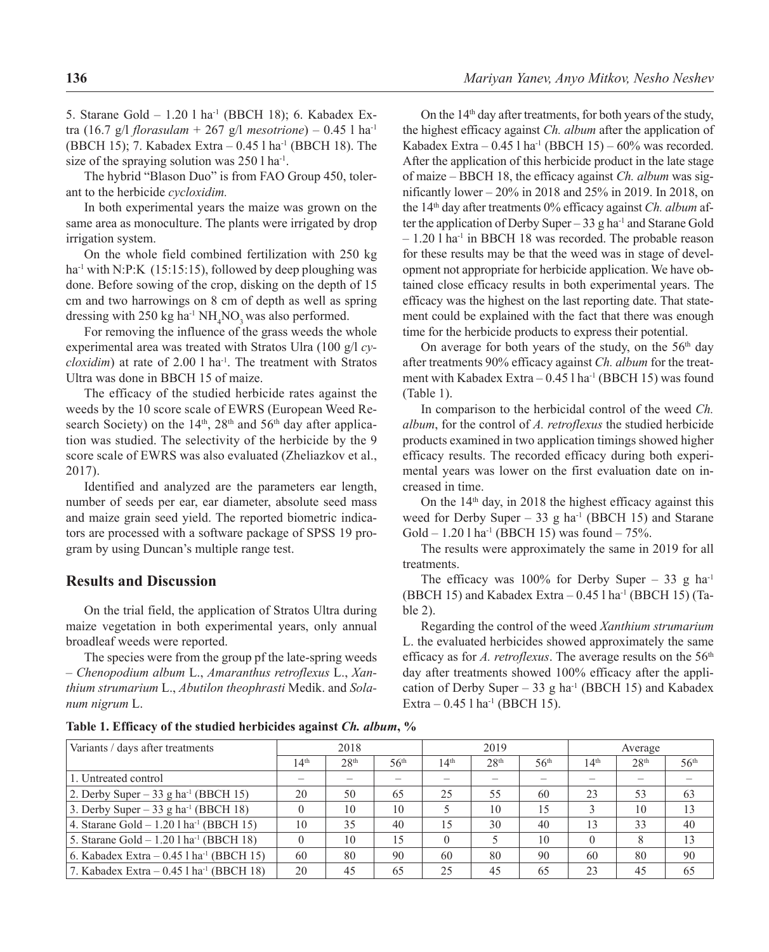5. Starane Gold - 1.20 l ha<sup>-1</sup> (BBCH 18); 6. Kabadex Extra (16.7 g/l *florasulam* + 267 g/l *mesotrione*) – 0.45 l ha-1 (BBCH 15); 7. Kabadex Extra – 0.45 l ha-1 (BBCH 18). The size of the spraying solution was 250 l ha<sup>-1</sup>.

The hybrid "Blason Duo" is from FAO Group 450, tolerant to the herbicide *cycloxidim.*

In both experimental years the maize was grown on the same area as monoculture. The plants were irrigated by drop irrigation system.

On the whole field combined fertilization with 250 kg ha<sup>-1</sup> with N:P:K (15:15:15), followed by deep ploughing was done. Before sowing of the crop, disking on the depth of 15 cm and two harrowings on 8 cm of depth as well as spring dressing with 250 kg ha<sup>-1</sup>  $NH<sub>4</sub>NO<sub>3</sub>$  was also performed.

For removing the influence of the grass weeds the whole experimental area was treated with Stratos Ulra (100 g/l *cycloxidim*) at rate of 2.00 l ha<sup>-1</sup>. The treatment with Stratos Ultra was done in BBCH 15 of maize.

The efficacy of the studied herbicide rates against the weeds by the 10 score scale of EWRS (European Weed Research Society) on the  $14<sup>th</sup>$ ,  $28<sup>th</sup>$  and  $56<sup>th</sup>$  day after application was studied. The selectivity of the herbicide by the 9 score scale of EWRS was also evaluated (Zheliazkov et al., 2017).

Identified and analyzed are the parameters ear length, number of seeds per ear, ear diameter, absolute seed mass and maize grain seed yield. The reported biometric indicators are processed with a software package of SPSS 19 program by using Duncan's multiple range test.

## **Results and Discussion**

On the trial field, the application of Stratos Ultra during maize vegetation in both experimental years, only annual broadleaf weeds were reported.

The species were from the group pf the late-spring weeds – *Chenopodium album* L., *Amaranthus retroflexus* L., *Xanthium strumarium* L., *Abutilon theophrasti* Medik. and *Solanum nigrum* L.

On the 14th day after treatments, for both years of the study, the highest efficacy against *Ch. album* after the application of Kabadex Extra –  $0.45$  l ha<sup>-1</sup> (BBCH 15) –  $60\%$  was recorded. After the application of this herbicide product in the late stage of maize – BBCH 18, the efficacy against *Ch. album* was significantly lower – 20% in 2018 and 25% in 2019. In 2018, on the 14th day after treatments 0% efficacy against *Ch. album* after the application of Derby Super – 33 g ha<sup>-1</sup> and Starane Gold – 1.20 l ha-1 in BBCH 18 was recorded. The probable reason for these results may be that the weed was in stage of development not appropriate for herbicide application. We have obtained close efficacy results in both experimental years. The efficacy was the highest on the last reporting date. That statement could be explained with the fact that there was enough time for the herbicide products to express their potential.

On average for both years of the study, on the  $56<sup>th</sup>$  day after treatments 90% efficacy against *Ch. album* for the treatment with Kabadex Extra  $-0.45$  l ha<sup>-1</sup> (BBCH 15) was found (Table 1).

In comparison to the herbicidal control of the weed *Ch. album*, for the control of *A. retroflexus* the studied herbicide products examined in two application timings showed higher efficacy results. The recorded efficacy during both experimental years was lower on the first evaluation date on increased in time.

On the  $14<sup>th</sup>$  day, in 2018 the highest efficacy against this weed for Derby Super – 33 g ha<sup>-1</sup> (BBCH 15) and Starane Gold – 1.20 l ha<sup>-1</sup> (BBCH 15) was found – 75%.

The results were approximately the same in 2019 for all treatments.

The efficacy was 100% for Derby Super – 33 g ha<sup>-1</sup> (BBCH 15) and Kabadex Extra  $-0.45$  l ha<sup>-1</sup> (BBCH 15) (Table 2).

Regarding the control of the weed *Xanthium strumarium*  L. the evaluated herbicides showed approximately the same efficacy as for *A. retroflexus*. The average results on the 56<sup>th</sup> day after treatments showed 100% efficacy after the application of Derby Super – 33 g ha<sup>-1</sup> (BBCH 15) and Kabadex Extra  $-0.45$  l ha<sup>-1</sup> (BBCH 15).

**Table 1. Efficacy of the studied herbicides against** *Ch. album***, %** 

| Variants / days after treatments                       |                  | 2018             |                  |                  | 2019             |                  |                  | Average          |                  |
|--------------------------------------------------------|------------------|------------------|------------------|------------------|------------------|------------------|------------------|------------------|------------------|
|                                                        | 14 <sup>th</sup> | 28 <sup>th</sup> | 56 <sup>th</sup> | 14 <sup>th</sup> | 28 <sup>th</sup> | 56 <sup>th</sup> | 14 <sup>th</sup> | 28 <sup>th</sup> | 56 <sup>th</sup> |
| 1. Untreated control                                   |                  |                  |                  |                  |                  |                  |                  |                  |                  |
| 2. Derby Super – 33 g ha <sup>-1</sup> (BBCH 15)       | 20               | 50               | 65               | 25               | 55               | 60               | 23               | 53               | 63               |
| 3. Derby Super - 33 g ha <sup>-1</sup> (BBCH 18)       |                  | 10               | 10               |                  | 10               | 15               |                  | 10               | 13               |
| 4. Starane Gold $- 1.201$ ha <sup>-1</sup> (BBCH 15)   | 10               | 35               | 40               | 15               | 30               | 40               |                  | 33               | 40               |
| 5. Starane Gold $-1.20$ l ha <sup>-1</sup> (BBCH 18)   |                  | 10               | 15               |                  |                  | 10               |                  |                  | 13               |
| 6. Kabadex Extra $- 0.45$ l ha <sup>-1</sup> (BBCH 15) | 60               | 80               | 90               | 60               | 80               | 90               | 60               | 80               | 90               |
| 7. Kabadex Extra $-0.45$ l ha <sup>-1</sup> (BBCH 18)  | 20               | 45               | 65               | 25               | 45               | 65               | 23               | 45               | 65               |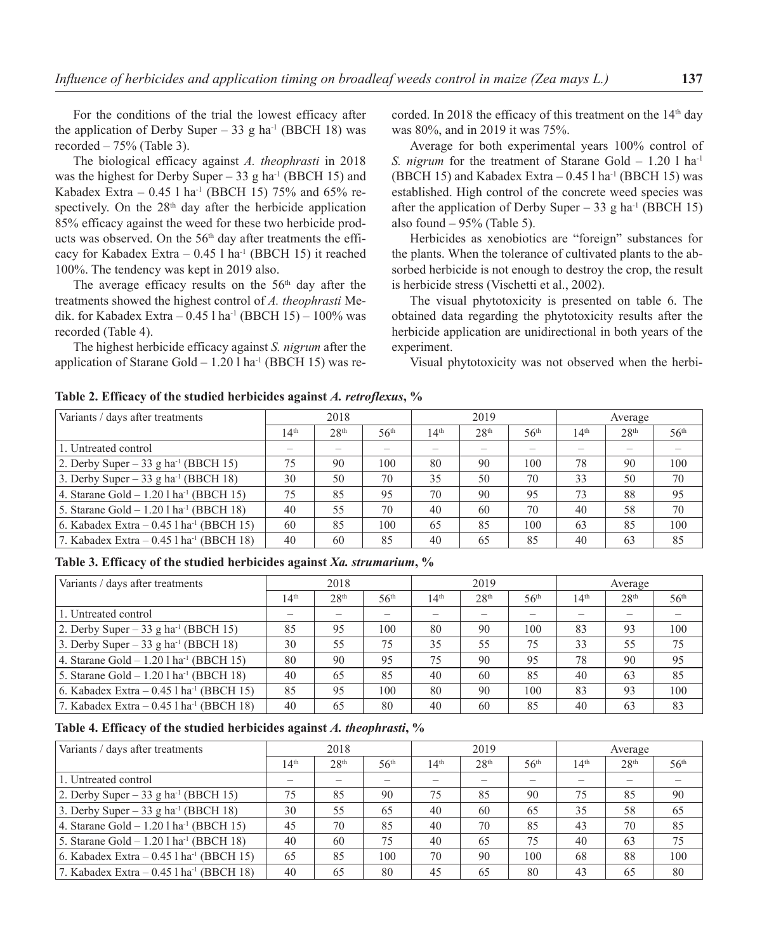For the conditions of the trial the lowest efficacy after the application of Derby Super – 33 g ha<sup>-1</sup> (BBCH 18) was recorded  $-75%$  (Table 3).

The biological efficacy against *A. theophrasti* in 2018 was the highest for Derby Super – 33 g ha<sup>-1</sup> (BBCH 15) and Kabadex Extra –  $0.45$  l ha<sup>-1</sup> (BBCH 15) 75% and 65% respectively. On the 28<sup>th</sup> day after the herbicide application 85% efficacy against the weed for these two herbicide products was observed. On the 56<sup>th</sup> day after treatments the efficacy for Kabadex Extra  $-0.45$  l ha<sup>-1</sup> (BBCH 15) it reached 100%. The tendency was kept in 2019 also.

The average efficacy results on the  $56<sup>th</sup>$  day after the treatments showed the highest control of *A. theophrasti* Medik. for Kabadex Extra  $-0.45$  l ha<sup>-1</sup> (BBCH 15)  $-100\%$  was recorded (Table 4).

The highest herbicide efficacy against *S. nigrum* after the application of Starane Gold  $-1.201$  ha<sup>-1</sup> (BBCH 15) was recorded. In 2018 the efficacy of this treatment on the 14<sup>th</sup> day was 80%, and in 2019 it was 75%.

Average for both experimental years 100% control of *S. nigrum* for the treatment of Starane Gold – 1.20 l ha<sup>-1</sup> (BBCH 15) and Kabadex Extra  $-0.45$  l ha<sup>-1</sup> (BBCH 15) was established. High control of the concrete weed species was after the application of Derby Super – 33 g ha<sup>-1</sup> (BBCH 15) also found  $-95%$  (Table 5).

Herbicides as xenobiotics are "foreign" substances for the plants. When the tolerance of cultivated plants to the absorbed herbicide is not enough to destroy the crop, the result is herbicide stress (Vischetti et al., 2002).

The visual phytotoxicity is presented on table 6. The obtained data regarding the phytotoxicity results after the herbicide application are unidirectional in both years of the experiment.

Visual phytotoxicity was not observed when the herbi-

**Table 2. Efficacy of the studied herbicides against** *A. retroflexus***, %**

| Variants / days after treatments                       |                  | 2018             |                  |                  | 2019             |                  |                  | Average                  |                  |
|--------------------------------------------------------|------------------|------------------|------------------|------------------|------------------|------------------|------------------|--------------------------|------------------|
|                                                        | 14 <sup>th</sup> | 28 <sup>th</sup> | 56 <sup>th</sup> | 14 <sup>th</sup> | 28 <sup>th</sup> | 56 <sup>th</sup> | 14 <sup>th</sup> | 28 <sup>th</sup>         | 56 <sup>th</sup> |
| 1. Untreated control                                   |                  |                  | –                |                  |                  |                  |                  | $\overline{\phantom{0}}$ |                  |
| 2. Derby Super – 33 g ha <sup>-1</sup> (BBCH 15)       | 75               | 90               | 100              | 80               | 90               | 100              | 78               | 90                       | 100              |
| 3. Derby Super – 33 g ha <sup>-1</sup> (BBCH 18)       | 30               | 50               | 70               | 35               | 50               | 70               | 33               | 50                       | 70               |
| 4. Starane Gold $- 1.201$ ha <sup>-1</sup> (BBCH 15)   | 75               | 85               | 95               | 70               | 90               | 95               | 73               | 88                       | 95               |
| 5. Starane Gold $- 1.201$ ha <sup>-1</sup> (BBCH 18)   | 40               | 55               | 70               | 40               | 60               | 70               | 40               | 58                       | 70               |
| 6. Kabadex Extra $- 0.45$ l ha <sup>-1</sup> (BBCH 15) | 60               | 85               | 100              | 65               | 85               | 100              | 63               | 85                       | 100              |
| 7. Kabadex Extra $-0.45$ l ha <sup>-1</sup> (BBCH 18)  | 40               | 60               | 85               | 40               | 65               | 85               | 40               | 63                       | 85               |

**Table 3. Efficacy of the studied herbicides against** *Xa. strumarium***, %**

| Variants / days after treatments                       |                  | 2018             |                  |                  | 2019             |                  |                  | Average          |                  |
|--------------------------------------------------------|------------------|------------------|------------------|------------------|------------------|------------------|------------------|------------------|------------------|
|                                                        | 14 <sup>th</sup> | 28 <sup>th</sup> | 56 <sup>th</sup> | 14 <sup>th</sup> | 28 <sup>th</sup> | 56 <sup>th</sup> | 14 <sup>th</sup> | 28 <sup>th</sup> | 56 <sup>th</sup> |
| 1. Untreated control                                   |                  |                  |                  |                  |                  |                  |                  |                  |                  |
| 2. Derby Super – 33 g ha <sup>-1</sup> (BBCH 15)       | 85               | 95               | 100              | 80               | 90               | 100              | 83               | 93               | 100              |
| 3. Derby Super $-33$ g ha <sup>-1</sup> (BBCH 18)      | 30               | 55               | 75               | 35               | 55               | 75               | 33               | 55               | 75               |
| 4. Starane Gold $- 1.201$ ha <sup>-1</sup> (BBCH 15)   | 80               | 90               | 95               | 75               | 90               | 95               | 78               | 90               | 95               |
| 5. Starane Gold $- 1.201$ ha <sup>-1</sup> (BBCH 18)   | 40               | 65               | 85               | 40               | 60               | 85               | 40               | 63               | 85               |
| 6. Kabadex Extra $- 0.45$ l ha <sup>-1</sup> (BBCH 15) | 85               | 95               | 100              | 80               | 90               | 100              | 83               | 93               | 100              |
| 7. Kabadex Extra $-0.45$ l ha <sup>-1</sup> (BBCH 18)  | 40               | 65               | 80               | 40               | 60               | 85               | 40               | 63               | 83               |

#### **Table 4. Efficacy of the studied herbicides against** *A. theophrasti***, %**

| Variants / days after treatments                      |                  | 2018             |                  |                  | 2019             |                  |                  | Average          |                  |
|-------------------------------------------------------|------------------|------------------|------------------|------------------|------------------|------------------|------------------|------------------|------------------|
|                                                       | 14 <sup>th</sup> | 28 <sup>th</sup> | 56 <sup>th</sup> | 14 <sup>th</sup> | 28 <sup>th</sup> | 56 <sup>th</sup> | 14 <sup>th</sup> | 28 <sup>th</sup> | 56 <sup>th</sup> |
| 1. Untreated control                                  |                  |                  |                  |                  |                  |                  |                  |                  |                  |
| 2. Derby Super – 33 g ha <sup>-1</sup> (BBCH 15)      | 75               | 85               | 90               | 75               | 85               | 90               | 75               | 85               | 90               |
| 3. Derby Super – 33 g ha <sup>-1</sup> (BBCH 18)      | 30               | 55               | 65               | 40               | 60               | 65               | 35               | 58               | 65               |
| 4. Starane Gold $-1.201$ ha <sup>-1</sup> (BBCH 15)   | 45               | 70               | 85               | 40               | 70               | 85               | 43               | 70               | 85               |
| 5. Starane Gold $-1.201$ ha <sup>-1</sup> (BBCH 18)   | 40               | 60               | 75               | 40               | 65               | 75               | 40               | 63               | 75               |
| 6. Kabadex Extra $-0.45$ 1 ha <sup>-1</sup> (BBCH 15) | 65               | 85               | 100              | 70               | 90               | 100              | 68               | 88               | 100              |
| 7. Kabadex Extra $-0.45$ l ha <sup>-1</sup> (BBCH 18) | 40               | 65               | 80               | 45               | 65               | 80               | 43               | 65               | 80               |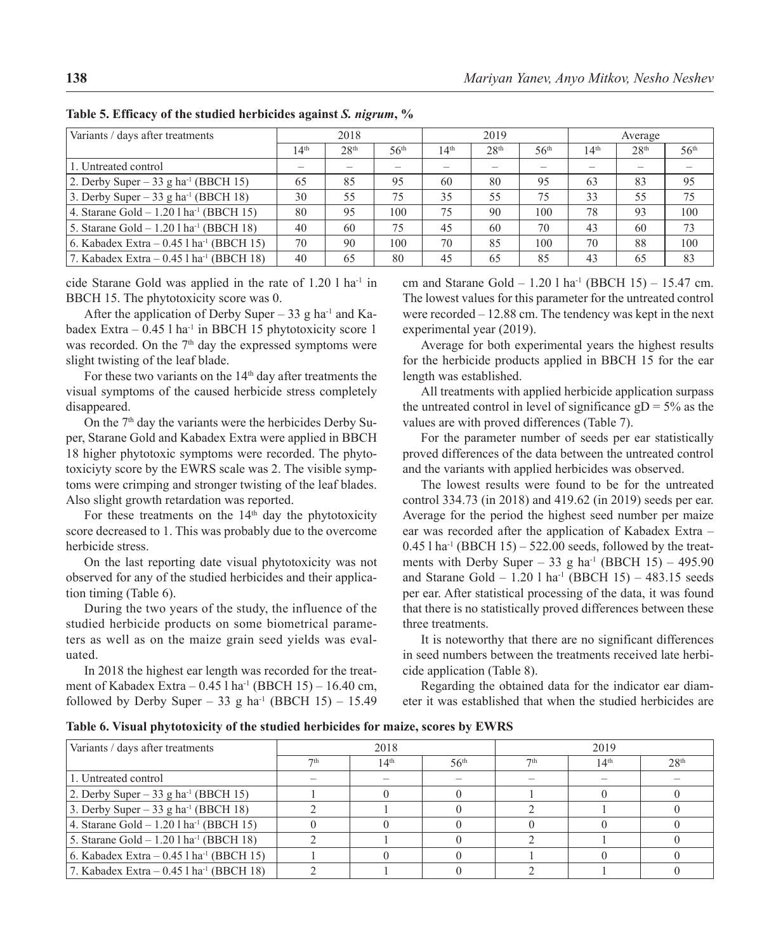| Variants / days after treatments                       |                  | 2018             |                  |                  | 2019             |                  |                  | Average          |                  |
|--------------------------------------------------------|------------------|------------------|------------------|------------------|------------------|------------------|------------------|------------------|------------------|
|                                                        | 14 <sup>th</sup> | 28 <sup>th</sup> | 56 <sup>th</sup> | 14 <sup>th</sup> | 28 <sup>th</sup> | 56 <sup>th</sup> | 14 <sup>th</sup> | 28 <sup>th</sup> | 56 <sup>th</sup> |
| 1. Untreated control                                   |                  |                  |                  |                  |                  |                  |                  |                  |                  |
| 2. Derby Super – 33 g ha <sup>-1</sup> (BBCH 15)       | 65               | 85               | 95               | 60               | 80               | 95               | 63               | 83               | 95               |
| 3. Derby Super – 33 g ha <sup>-1</sup> (BBCH 18)       | 30               | 55               | 75               | 35               | 55               | 75               | 33               | 55               | 75               |
| 4. Starane Gold $- 1.201$ ha <sup>-1</sup> (BBCH 15)   | 80               | 95               | 100              | 75               | 90               | 100              | 78               | 93               | 100              |
| 5. Starane Gold $- 1.201$ ha <sup>-1</sup> (BBCH 18)   | 40               | 60               | 75               | 45               | 60               | 70               | 43               | 60               | 73               |
| 6. Kabadex Extra $- 0.45$ l ha <sup>-1</sup> (BBCH 15) | 70               | 90               | 100              | 70               | 85               | 100              | 70               | 88               | 100              |
| 7. Kabadex Extra $-0.45$ l ha <sup>-1</sup> (BBCH 18)  | 40               | 65               | 80               | 45               | 65               | 85               | 43               | 65               | 83               |

**Table 5. Efficacy of the studied herbicides against** *S. nigrum***, %**

cide Starane Gold was applied in the rate of 1.20 l ha-1 in BBCH 15. The phytotoxicity score was 0.

After the application of Derby Super – 33 g ha<sup>-1</sup> and Kabadex Extra  $-0.45$  l ha<sup>-1</sup> in BBCH 15 phytotoxicity score 1 was recorded. On the  $7<sup>th</sup>$  day the expressed symptoms were slight twisting of the leaf blade.

For these two variants on the  $14<sup>th</sup>$  day after treatments the visual symptoms of the caused herbicide stress completely disappeared.

On the 7<sup>th</sup> day the variants were the herbicides Derby Super, Starane Gold and Kabadex Extra were applied in BBCH 18 higher phytotoxic symptoms were recorded. The phytotoxiciyty score by the EWRS scale was 2. The visible symptoms were crimping and stronger twisting of the leaf blades. Also slight growth retardation was reported.

For these treatments on the  $14<sup>th</sup>$  day the phytotoxicity score decreased to 1. This was probably due to the overcome herbicide stress.

On the last reporting date visual phytotoxicity was not observed for any of the studied herbicides and their application timing (Table 6).

During the two years of the study, the influence of the studied herbicide products on some biometrical parameters as well as on the maize grain seed yields was evaluated.

In 2018 the highest ear length was recorded for the treatment of Kabadex Extra – 0.45 l ha-1 (BBCH 15) – 16.40 cm, followed by Derby Super – 33 g ha<sup>-1</sup> (BBCH 15) – 15.49 cm and Starane Gold –  $1.20$  l ha<sup>-1</sup> (BBCH 15) – 15.47 cm. The lowest values for this parameter for the untreated control were recorded – 12.88 cm. The tendency was kept in the next experimental year (2019).

Average for both experimental years the highest results for the herbicide products applied in BBCH 15 for the ear length was established.

All treatments with applied herbicide application surpass the untreated control in level of significance  $gD = 5%$  as the values are with proved differences (Table 7).

For the parameter number of seeds per ear statistically proved differences of the data between the untreated control and the variants with applied herbicides was observed.

The lowest results were found to be for the untreated control 334.73 (in 2018) and 419.62 (in 2019) seeds per ear. Average for the period the highest seed number per maize ear was recorded after the application of Kabadex Extra –  $0.45$  l ha<sup>-1</sup> (BBCH 15) – 522.00 seeds, followed by the treatments with Derby Super – 33 g ha<sup>-1</sup> (BBCH 15) – 495.90 and Starane Gold – 1.20 l ha<sup>-1</sup> (BBCH 15) – 483.15 seeds per ear. After statistical processing of the data, it was found that there is no statistically proved differences between these three treatments.

It is noteworthy that there are no significant differences in seed numbers between the treatments received late herbicide application (Table 8).

Regarding the obtained data for the indicator ear diameter it was established that when the studied herbicides are

**Table 6. Visual phytotoxicity of the studied herbicides for maize, scores by EWRS**

| Variants / days after treatments                       | 2018            |                  |                  | 2019            |                  |                  |
|--------------------------------------------------------|-----------------|------------------|------------------|-----------------|------------------|------------------|
|                                                        | 7 <sup>th</sup> | 14 <sup>th</sup> | 56 <sup>th</sup> | 7 <sup>th</sup> | 14 <sup>th</sup> | 28 <sup>th</sup> |
| 1. Untreated control                                   |                 |                  |                  |                 |                  |                  |
| 2. Derby Super – 33 g ha <sup>-1</sup> (BBCH 15)       |                 |                  |                  |                 |                  |                  |
| 3. Derby Super $-33$ g ha <sup>-1</sup> (BBCH 18)      |                 |                  |                  |                 |                  |                  |
| 4. Starane Gold $- 1.201$ ha <sup>-1</sup> (BBCH 15)   |                 |                  |                  |                 |                  |                  |
| 5. Starane Gold $- 1.201$ ha <sup>-1</sup> (BBCH 18)   |                 |                  |                  |                 |                  |                  |
| 6. Kabadex Extra – $0.45$ l ha <sup>-1</sup> (BBCH 15) |                 |                  |                  |                 |                  |                  |
| 7. Kabadex Extra $- 0.45$ l ha <sup>-1</sup> (BBCH 18) |                 |                  |                  |                 |                  |                  |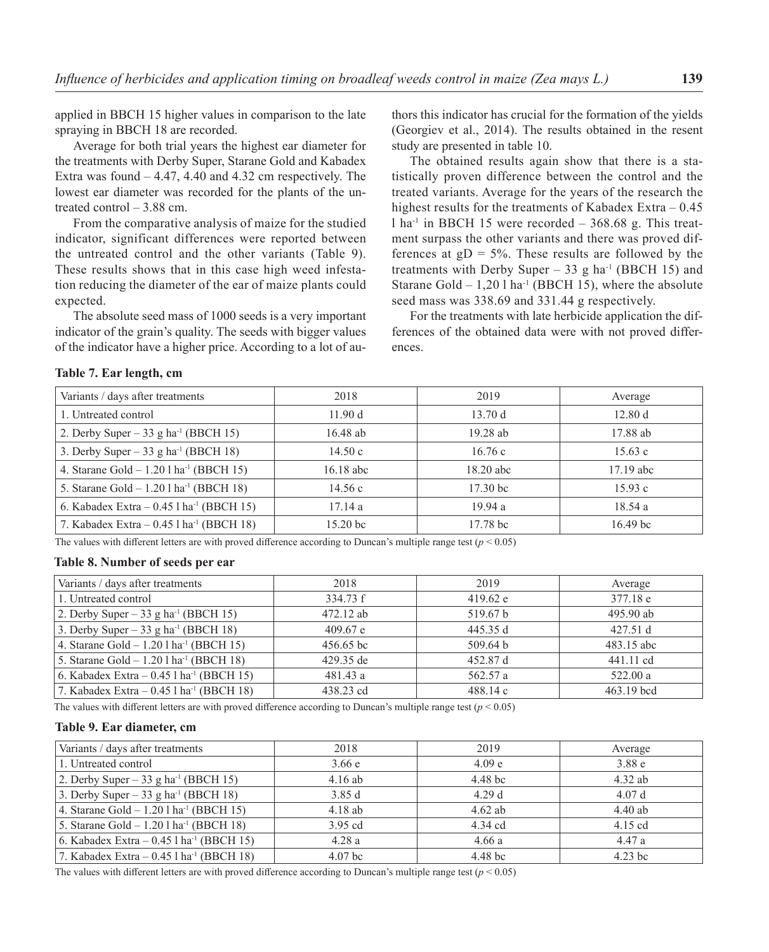applied in BBCH 15 higher values in comparison to the late spraying in BBCH 18 are recorded.

Average for both trial years the highest ear diameter for the treatments with Derby Super, Starane Gold and Kabadex Extra was found – 4.47, 4.40 and 4.32 cm respectively. The lowest ear diameter was recorded for the plants of the untreated control – 3.88 cm.

From the comparative analysis of maize for the studied indicator, significant differences were reported between the untreated control and the other variants (Table 9). These results shows that in this case high weed infestation reducing the diameter of the ear of maize plants could expected.

The absolute seed mass of 1000 seeds is a very important indicator of the grain's quality. The seeds with bigger values of the indicator have a higher price. According to a lot of au-

thors this indicator has crucial for the formation of the yields (Georgiev et al., 2014). The results obtained in the resent study are presented in table 10.

The obtained results again show that there is a statistically proven difference between the control and the treated variants. Average for the years of the research the highest results for the treatments of Kabadex Extra - 0.45 l ha<sup>-1</sup> in BBCH 15 were recorded  $-368.68$  g. This treatment surpass the other variants and there was proved differences at  $gD = 5%$ . These results are followed by the treatments with Derby Super – 33 g ha<sup>-1</sup> (BBCH 15) and Starane Gold  $-1,20$  l ha<sup>-1</sup> (BBCH 15), where the absolute seed mass was 338.69 and 331.44 g respectively.

For the treatments with late herbicide application the differences of the obtained data were with not proved differences.

### **Table 7. Ear length, cm**

| Variants / days after treatments                      | 2018                | 2019                | Average             |
|-------------------------------------------------------|---------------------|---------------------|---------------------|
| 1. Untreated control                                  | 11.90 d             | 13.70 d             | 12.80 d             |
| 2. Derby Super – 33 g ha <sup>-1</sup> (BBCH 15)      | 16.48 ab            | $19.28$ ab          | 17.88 ab            |
| 3. Derby Super – 33 g ha <sup>-1</sup> (BBCH 18)      | 14.50c              | 16.76c              | 15.63c              |
| 4. Starane Gold $- 1.201$ ha <sup>-1</sup> (BBCH 15)  | $16.18$ abc         | $18.20$ abc         | $17.19$ abc         |
| 5. Starane Gold $- 1.201$ ha <sup>-1</sup> (BBCH 18)  | 14.56 c             | 17.30 <sub>bc</sub> | 15.93c              |
| 6. Kabadex Extra $-0.45$ l ha <sup>-1</sup> (BBCH 15) | 17.14a              | 19.94a              | 18.54a              |
| 7. Kabadex Extra $-0.45$ l ha <sup>-1</sup> (BBCH 18) | 15.20 <sub>bc</sub> | 17.78 <sub>bc</sub> | 16.49 <sub>bc</sub> |

The values with different letters are with proved difference according to Duncan's multiple range test  $(p < 0.05)$ 

## **Table 8. Number of seeds per ear**

| Variants / days after treatments                      | 2018        | 2019     | Average    |
|-------------------------------------------------------|-------------|----------|------------|
| 1. Untreated control                                  | 334.73 f    | 419.62 e | 377.18 e   |
| 2. Derby Super – 33 g ha <sup>-1</sup> (BBCH 15)      | 472.12 ab   | 519.67 b | 495.90 ab  |
| 3. Derby Super – 33 g ha <sup>-1</sup> (BBCH 18)      | 409.67 e    | 445.35 d | 427.51d    |
| 4. Starane Gold $- 1.201$ ha <sup>-1</sup> (BBCH 15)  | $456.65$ bc | 509.64 b | 483.15 abc |
| 5. Starane Gold $- 1.201$ ha <sup>-1</sup> (BBCH 18)  | 429.35 de   | 452.87 d | 441.11 cd  |
| 6. Kabadex Extra $-0.45$ l ha <sup>-1</sup> (BBCH 15) | 481.43 a    | 562.57 a | 522.00 a   |
| 7. Kabadex Extra $-0.45$ 1 ha <sup>-1</sup> (BBCH 18) | 438.23 cd   | 488.14c  | 463.19 bcd |

The values with different letters are with proved difference according to Duncan's multiple range test  $(p < 0.05)$ 

#### **Table 9. Ear diameter, cm**

| Variants / days after treatments                      | 2018               | 2019               | Average   |
|-------------------------------------------------------|--------------------|--------------------|-----------|
| 1. Untreated control                                  | 3.66e              | 4.09 e             | 3.88e     |
| 2. Derby Super – 33 g ha <sup>-1</sup> (BBCH 15)      | $4.16$ ab          | 4.48 <sub>bc</sub> | $4.32$ ab |
| 3. Derby Super – 33 g ha <sup>-1</sup> (BBCH 18)      | 3.85d              | 4.29d              | 4.07d     |
| 4. Starane Gold $- 1.201$ ha <sup>-1</sup> (BBCH 15)  | 4.18ab             | $4.62$ ab          | $4.40$ ab |
| 5. Starane Gold $- 1.201$ ha <sup>-1</sup> (BBCH 18)  | 3.95 cd            | 4.34 cd            | $4.15$ cd |
| 6. Kabadex Extra $-0.45$ l ha <sup>-1</sup> (BBCH 15) | 4.28a              | 4.66a              | 4.47a     |
| 7. Kabadex Extra $-0.45$ 1 ha <sup>-1</sup> (BBCH 18) | 4.07 <sub>bc</sub> | 4.48 <sub>bc</sub> | $4.23$ bc |

The values with different letters are with proved difference according to Duncan's multiple range test  $(p < 0.05)$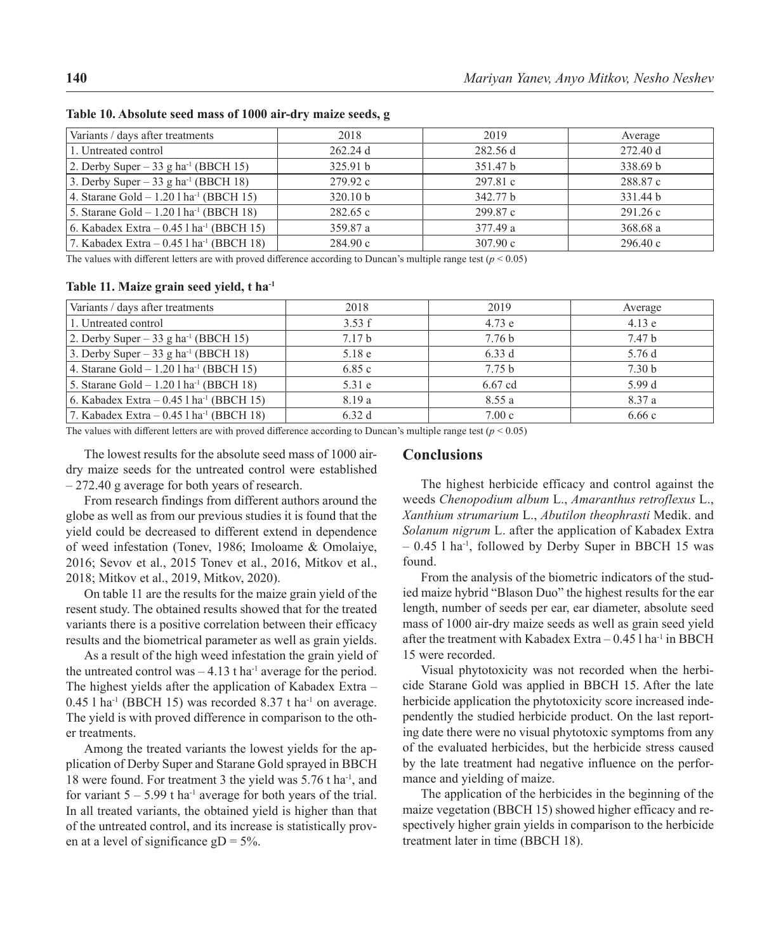| Variants / days after treatments                       | 2018                | 2019     | Average  |
|--------------------------------------------------------|---------------------|----------|----------|
| 1. Untreated control                                   | 262.24d             | 282.56 d | 272.40 d |
| 2. Derby Super $-33$ g ha <sup>-1</sup> (BBCH 15)      | 325.91 b            | 351.47 b | 338.69 b |
| 3. Derby Super – 33 g ha <sup>-1</sup> (BBCH 18)       | 279.92c             | 297.81 c | 288.87 c |
| 4. Starane Gold $- 1.201$ ha <sup>-1</sup> (BBCH 15)   | 320.10 <sub>b</sub> | 342.77 b | 331.44 b |
| 5. Starane Gold $- 1.201$ ha <sup>-1</sup> (BBCH 18)   | 282.65c             | 299.87 c | 291.26c  |
| 6. Kabadex Extra $- 0.45$ l ha <sup>-1</sup> (BBCH 15) | 359.87 a            | 377.49 a | 368.68 a |
| 7. Kabadex Extra $-0.45$ l ha <sup>-1</sup> (BBCH 18)  | 284.90c             | 307.90c  | 296.40c  |

**Table 10. Absolute seed mass of 1000 air-dry maize seeds, g**

The values with different letters are with proved difference according to Duncan's multiple range test (*p* < 0.05)

**Table 11. Maize grain seed yield, t ha-1**

| Variants / days after treatments                      | 2018              | 2019              | Average           |
|-------------------------------------------------------|-------------------|-------------------|-------------------|
| 1. Untreated control                                  | 3.53 f            | 4.73 e            | 4.13e             |
| 2. Derby Super $-33$ g ha <sup>-1</sup> (BBCH 15)     | 7.17 <sub>b</sub> | 7.76 <sub>b</sub> | 7.47 b            |
| 3. Derby Super – 33 g ha <sup>-1</sup> (BBCH 18)      | 5.18e             | 6.33d             | 5.76 d            |
| 4. Starane Gold $-1.20$ l ha <sup>-1</sup> (BBCH 15)  | 6.85c             | 7.75 <sub>b</sub> | 7.30 <sub>b</sub> |
| 5. Starane Gold $-1.201$ ha <sup>-1</sup> (BBCH 18)   | 5.31e             | $6.67$ cd         | 5.99 d            |
| 6. Kabadex Extra $-0.45$ l ha <sup>-1</sup> (BBCH 15) | 8.19 a            | 8.55a             | 8.37 a            |
| 7. Kabadex Extra $-0.45$ l ha <sup>-1</sup> (BBCH 18) | 6.32d             | 7.00c             | 6.66c             |

The values with different letters are with proved difference according to Duncan's multiple range test  $(p < 0.05)$ 

The lowest results for the absolute seed mass of 1000 airdry maize seeds for the untreated control were established – 272.40 g average for both years of research.

From research findings from different authors around the globe as well as from our previous studies it is found that the yield could be decreased to different extend in dependence of weed infestation (Tonev, 1986; Imoloame & Omolaiye, 2016; Sevov et al., 2015 Tonev et al., 2016, Mitkov et al., 2018; Mitkov et al., 2019, Mitkov, 2020).

On table 11 are the results for the maize grain yield of the resent study. The obtained results showed that for the treated variants there is a positive correlation between their efficacy results and the biometrical parameter as well as grain yields.

As a result of the high weed infestation the grain yield of the untreated control was  $-4.13$  t ha<sup>-1</sup> average for the period. The highest yields after the application of Kabadex Extra –  $0.45$  l ha<sup>-1</sup> (BBCH 15) was recorded 8.37 t ha<sup>-1</sup> on average. The yield is with proved difference in comparison to the other treatments.

Among the treated variants the lowest yields for the application of Derby Super and Starane Gold sprayed in BBCH 18 were found. For treatment 3 the yield was 5.76 t ha-1, and for variant  $5 - 5.99$  t ha<sup>-1</sup> average for both years of the trial. In all treated variants, the obtained yield is higher than that of the untreated control, and its increase is statistically proven at a level of significance  $gD = 5\%$ .

### **Conclusions**

The highest herbicide efficacy and control against the weeds *Chenopodium album* L., *Amaranthus retroflexus* L., *Xanthium strumarium* L., *Abutilon theophrasti* Medik. and *Solanum nigrum* L. after the application of Kabadex Extra  $-$  0.45 l ha<sup>-1</sup>, followed by Derby Super in BBCH 15 was found.

From the analysis of the biometric indicators of the studied maize hybrid "Blason Duo" the highest results for the ear length, number of seeds per ear, ear diameter, absolute seed mass of 1000 air-dry maize seeds as well as grain seed yield after the treatment with Kabadex Extra  $-0.45$  l ha<sup>-1</sup> in BBCH 15 were recorded.

Visual phytotoxicity was not recorded when the herbicide Starane Gold was applied in BBCH 15. After the late herbicide application the phytotoxicity score increased independently the studied herbicide product. On the last reporting date there were no visual phytotoxic symptoms from any of the evaluated herbicides, but the herbicide stress caused by the late treatment had negative influence on the performance and yielding of maize.

The application of the herbicides in the beginning of the maize vegetation (BBCH 15) showed higher efficacy and respectively higher grain yields in comparison to the herbicide treatment later in time (BBCH 18).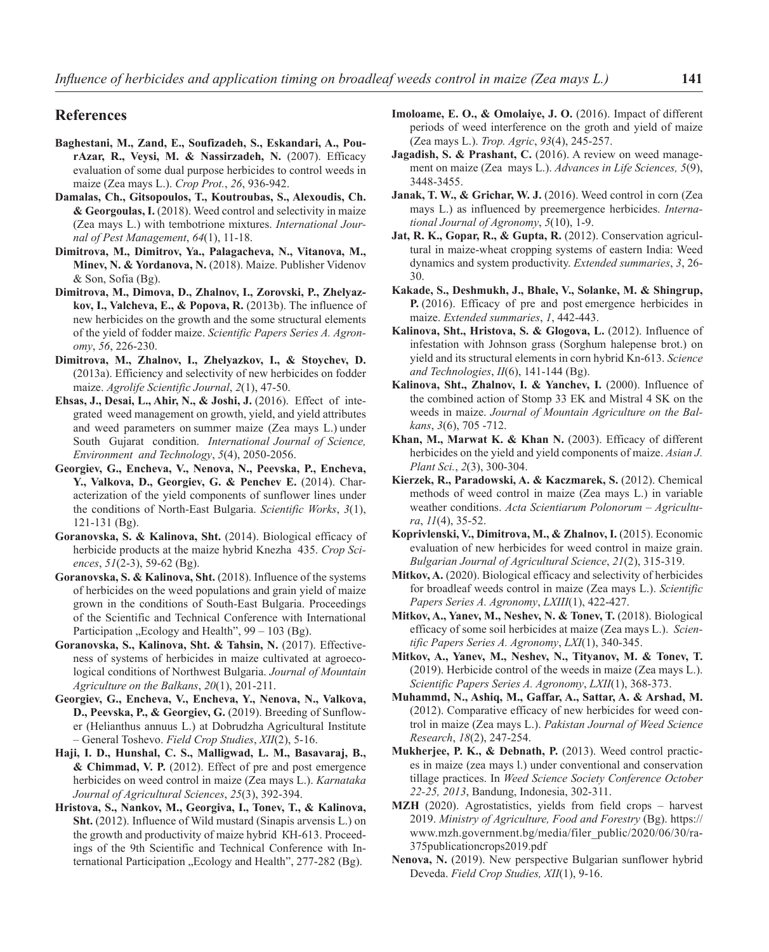## **References**

- **Baghestani, M., Zand, E., Soufizadeh, S., Eskandari, A., PourAzar, R., Veysi, M. & Nassirzadeh, N.** (2007). Efficacy evaluation of some dual purpose herbicides to control weeds in maize (Zea mays L.). *Crop Prot.*, *26*, 936-942.
- **Damalas, Ch., Gitsopoulos, T., Koutroubas, S., Alexoudis, Ch. & Georgoulas, I.** (2018). Weed control and selectivity in maize (Zea mays L.) with tembotrione mixtures. *International Journal of Pest Management*, *64*(1), 11-18.
- **Dimitrova, M., Dimitrov, Ya., Palagacheva, N., Vitanova, M., Minev, N. & Yordanova, N.** (2018). Maize. Publisher Videnov & Son, Sofia (Bg).
- **Dimitrova, M., Dimova, D., Zhalnov, I., Zorovski, P., Zhelyazkov, I., Valcheva, E., & Popova, R.** (2013b). The influence of new herbicides on the growth and the some structural elements of the yield of fodder maize. *Scientific Papers Series A. Agronomy*, *56*, 226-230.
- **Dimitrova, M., Zhalnov, I., Zhelyazkov, I., & Stoychev, D.**  (2013a). Efficiency and selectivity of new herbicides on fodder maize. *Agrolife Scientific Journal*, *2*(1), 47-50.
- **Ehsas, J., Desai, L., Ahir, N., & Joshi, J.** (2016). Effect of integrated weed management on growth, yield, and yield attributes and weed parameters on summer maize (Zea mays L.) under South Gujarat condition. *International Journal of Science, Environment and Technology*, *5*(4), 2050-2056.
- **Georgiev, G., Encheva, V., Nenova, N., Peevska, P., Encheva, Ү., Valkova, D., Georgiev, G. & Penchev Е.** (2014). Characterization of the yield components of sunflower lines under the conditions of North-East Bulgaria. *Scientific Works*, *3*(1), 121-131 (Bg).
- **Goranovska, S. & Kalinova, Sht.** (2014). Biological efficacy of herbicide products at the maize hybrid Knezha 435. *Crop Sciences*, *51*(2-3), 59-62 (Bg).
- **Goranovska, S. & Kalinova, Sht.** (2018). Influence of the systems of herbicides on the weed populations and grain yield of maize grown in the conditions of South-East Bulgaria. Proceedings of the Scientific and Technical Conference with International Participation "Ecology and Health",  $99 - 103$  (Bg).
- **Goranovska, S., Kalinova, Sht. & Tahsin, N.** (2017). Effectiveness of systems of herbicides in maize cultivated at agroecological conditions of Northwest Bulgaria. *Journal of Mountain Agriculture on the Balkans*, *20*(1), 201-211.
- **Georgiev, G., Encheva, V., Encheva, Y., Nenova, N., Valkova, D., Peevska, P., & Georgiev, G.** (2019). Breeding of Sunflower (Helianthus annuus L.) at Dobrudzha Agricultural Institute – General Toshevo. *Field Crop Studies*, *XII*(2), 5-16.
- **Haji, I. D., Hunshal, C. S., Malligwad, L. M., Basavaraj, B., & Chimmad, V. P.** (2012). Effect of pre and post emergence herbicides on weed control in maize (Zea mays L.). *Karnataka Journal of Agricultural Sciences*, *25*(3), 392-394.
- **Hristova, S., Nankov, M., Georgiva, I., Tonev, T., & Kalinova, Sht.** (2012). Influence of Wild mustard (Sinapis arvensis L.) on the growth and productivity of maize hybrid КН-613. Proceedings of the 9th Scientific and Technical Conference with International Participation "Ecology and Health", 277-282 (Bg).
- **Imoloame, E. O., & Omolaiye, J. O.** (2016). Impact of different periods of weed interference on the groth and yield of maize (Zea mays L.). *Trop. Agric*, *93*(4), 245-257.
- **Jagadish, S. & Prashant, C.** (2016). A review on weed management on maize (Zea mays L.). *Advances in Life Sciences, 5*(9), 3448-3455.
- **Janak, T. W., & Grichar, W. J.** (2016). Weed control in corn (Zea mays L.) as influenced by preemergence herbicides. *International Journal of Agronomy*, *5*(10), 1-9.
- **Jat, R. K., Gopar, R., & Gupta, R.** (2012). Conservation agricultural in maize-wheat cropping systems of eastern India: Weed dynamics and system productivity. *Extended summaries*, *3*, 26- 30.
- **Kakade, S., Deshmukh, J., Bhale, V., Solanke, M. & Shingrup, P.** (2016). Efficacy of pre and post emergence herbicides in maize. *Extended summaries*, *1*, 442-443.
- Kalinova, Sht., Hristova, S. & Glogova, L. (2012). Influence of infestation with Johnson grass (Sorghum halepense brot.) on yield and its structural elements in corn hybrid Kn-613. *Science and Technologies*, *II*(6), 141-144 (Bg).
- **Kalinova, Sht., Zhalnov, I. & Yanchev, I.** (2000). Influence of the combined action of Stomp 33 EK and Mistral 4 SK on the weeds in maize. *Journal of Mountain Agriculture on the Balkans*, *3*(6), 705 -712.
- **Khan, M., Marwat K. & Khan N.** (2003). Efficacy of different herbicides on the yield and yield components of maize. *Asian J. Plant Sci.*, *2*(3), 300-304.
- **Kierzek, R., Paradowski, A. & Kaczmarek, S.** (2012). Chemical methods of weed control in maize (Zea mays L.) in variable weather conditions. *Acta Scientiarum Polonorum – Agricultura*, *11*(4), 35-52.
- **Koprivlenski, V., Dimitrova, M., & Zhalnov, I.** (2015). Economic evaluation of new herbicides for weed control in maize grain. *Bulgarian Journal of Agricultural Science*, *21*(2), 315-319.
- **Mitkov, A.** (2020). Biological efficacy and selectivity of herbicides for broadleaf weeds control in maize (Zea mays L.). *Scientific Papers Series A. Agronomy*, *LXIII*(1), 422-427.
- **Mitkov, A., Yanev, M., Neshev, N. & Tonev, T.** (2018). Biological efficacy of some soil herbicides at maize (Zea mays L.). *Scientific Papers Series A. Agronomy*, *LXI*(1), 340-345.
- **Mitkov, A., Yanev, M., Neshev, N., Tityanov, M. & Tonev, T.** (2019). Herbicide control of the weeds in maize (Zea mays L.). *Scientific Papers Series A. Agronomy*, *LXII*(1), 368-373.
- **Muhammd, N., Ashiq, M., Gaffar, A., Sattar, A. & Arshad, M.**  (2012). Comparative efficacy of new herbicides for weed control in maize (Zea mays L.). *Pakistan Journal of Weed Science Research*, *18*(2), 247-254.
- **Mukherjee, P. K., & Debnath, P.** (2013). Weed control practices in maize (zea mays l.) under conventional and conservation tillage practices. In *Weed Science Society Conference October 22-25, 2013*, Bandung, Indonesia, 302-311.
- **MZH** (2020). Agrostatistics, yields from field crops harvest 2019. *Ministry of Agriculture, Food and Forestry* (Bg). https:// www.mzh.government.bg/media/filer\_public/2020/06/30/ra-375publicationcrops2019.pdf
- **Nenova, N.** (2019). New perspective Bulgarian sunflower hybrid Deveda. *Field Crop Studies, XII*(1), 9-16.